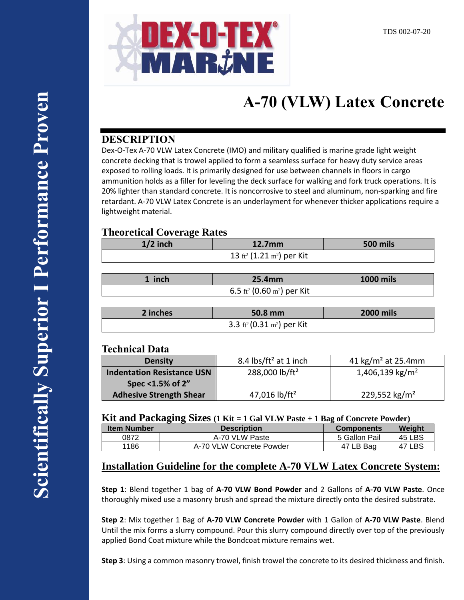

# **A-70 (VLW) Latex Concrete**

## **DESCRIPTION**

Dex-O-Tex A-70 VLW Latex Concrete (IMO) and military qualified is marine grade light weight concrete decking that is trowel applied to form a seamless surface for heavy duty service areas exposed to rolling loads. It is primarily designed for use between channels in floors in cargo ammunition holds as a filler for leveling the deck surface for walking and fork truck operations. It is 20% lighter than standard concrete. It is noncorrosive to steel and aluminum, non-sparking and fire retardant. A-70 VLW Latex Concrete is an underlayment for whenever thicker applications require a lightweight material.

## **Theoretical Coverage Rates**

| $1/2$ inch                                        | <b>500 mils</b><br>12.7 <sub>mm</sub> |                  |
|---------------------------------------------------|---------------------------------------|------------------|
| 13 ft <sup>2</sup> (1.21 m <sup>2</sup> ) per Kit |                                       |                  |
|                                                   |                                       |                  |
| 1 inch                                            | 25.4mm                                | <b>1000 mils</b> |

| - | ___                                                |  |
|---|----------------------------------------------------|--|
|   | 6.5 ft <sup>2</sup> (0.60 m <sup>2</sup> ) per Kit |  |
|   |                                                    |  |

| 2 inches                                           | $50.8$ mm | <b>2000 mils</b> |
|----------------------------------------------------|-----------|------------------|
| 3.3 ft <sup>2</sup> (0.31 m <sup>2</sup> ) per Kit |           |                  |

## **Technical Data**

| <b>Density</b>                    | 8.4 $\frac{1}{5}$ /ft <sup>2</sup> at 1 inch | 41 kg/m <sup>2</sup> at 25.4mm |
|-----------------------------------|----------------------------------------------|--------------------------------|
| <b>Indentation Resistance USN</b> | 288,000 lb/ft <sup>2</sup>                   | 1,406,139 kg/m <sup>2</sup>    |
| Spec $<$ 1.5% of 2"               |                                              |                                |
| <b>Adhesive Strength Shear</b>    | 47,016 lb/ft <sup>2</sup>                    | 229,552 kg/m <sup>2</sup>      |

### **Kit and Packaging Sizes (1 Kit = 1 Gal VLW Paste + 1 Bag of Concrete Powder)**

| <b>Item Number</b> | <b>Description</b>       | <b>Components</b> | Weight |
|--------------------|--------------------------|-------------------|--------|
| 0872               | A-70 VLW Paste           | 5 Gallon Pail     | 45 LBS |
| 1186               | A-70 VLW Concrete Powder | 47 LB Bag         | 47 LBS |

## **Installation Guideline for the complete A-70 VLW Latex Concrete System:**

**Step 1**: Blend together 1 bag of **A-70 VLW Bond Powder** and 2 Gallons of **A-70 VLW Paste**. Once thoroughly mixed use a masonry brush and spread the mixture directly onto the desired substrate.

**Step 2**: Mix together 1 Bag of **A-70 VLW Concrete Powder** with 1 Gallon of **A-70 VLW Paste**. Blend Until the mix forms a slurry compound. Pour this slurry compound directly over top of the previously applied Bond Coat mixture while the Bondcoat mixture remains wet.

**Step 3**: Using a common masonry trowel, finish trowel the concrete to its desired thickness and finish.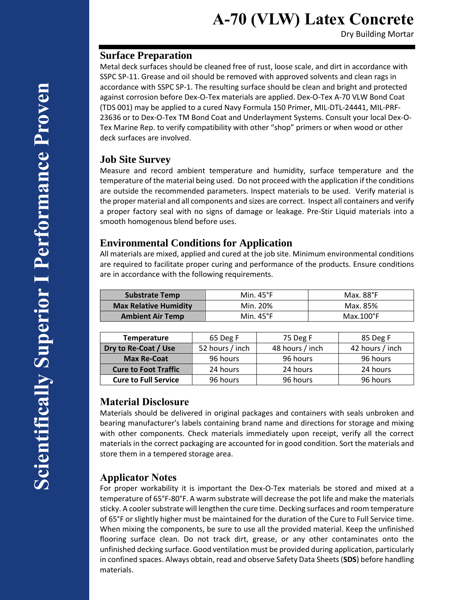# **A-70 (VLW) Latex Concrete**

Dry Building Mortar

#### **Surface Preparation**

Metal deck surfaces should be cleaned free of rust, loose scale, and dirt in accordance with SSPC SP-11. Grease and oil should be removed with approved solvents and clean rags in accordance with SSPC SP-1. The resulting surface should be clean and bright and protected against corrosion before Dex-O-Tex materials are applied. Dex-O-Tex A-70 VLW Bond Coat (TDS 001) may be applied to a cured Navy Formula 150 Primer, MIL-DTL-24441, MIL-PRF-23636 or to Dex-O-Tex TM Bond Coat and Underlayment Systems. Consult your local Dex-O-Tex Marine Rep. to verify compatibility with other "shop" primers or when wood or other deck surfaces are involved.

### **Job Site Survey**

Measure and record ambient temperature and humidity, surface temperature and the temperature of the material being used. Do not proceed with the application if the conditions are outside the recommended parameters. Inspect materials to be used. Verify material is the proper material and all components and sizes are correct. Inspect all containers and verify a proper factory seal with no signs of damage or leakage. Pre-Stir Liquid materials into a smooth homogenous blend before uses.

## **Environmental Conditions for Application**

All materials are mixed, applied and cured at the job site. Minimum environmental conditions are required to facilitate proper curing and performance of the products. Ensure conditions are in accordance with the following requirements.

| <b>Substrate Temp</b>        | Min. $45^{\circ}$ F | Max. 88°F          |
|------------------------------|---------------------|--------------------|
| <b>Max Relative Humidity</b> | Min. 20%            | Max. 85%           |
| <b>Ambient Air Temp</b>      | Min. $45^{\circ}$ F | $Max.100^{\circ}F$ |

| <b>Temperature</b>          | 65 Deg F        | 75 Deg F        | 85 Deg F        |
|-----------------------------|-----------------|-----------------|-----------------|
| Dry to Re-Coat / Use        | 52 hours / inch | 48 hours / inch | 42 hours / inch |
| <b>Max Re-Coat</b>          | 96 hours        | 96 hours        | 96 hours        |
| <b>Cure to Foot Traffic</b> | 24 hours        | 24 hours        | 24 hours        |
| <b>Cure to Full Service</b> | 96 hours        | 96 hours        | 96 hours        |

### **Material Disclosure**

Materials should be delivered in original packages and containers with seals unbroken and bearing manufacturer's labels containing brand name and directions for storage and mixing with other components. Check materials immediately upon receipt, verify all the correct materials in the correct packaging are accounted for in good condition. Sort the materials and store them in a tempered storage area.

## **Applicator Notes**

For proper workability it is important the Dex-O-Tex materials be stored and mixed at a temperature of 65°F-80°F. A warm substrate will decrease the pot life and make the materials sticky. A cooler substrate will lengthen the cure time. Decking surfaces and room temperature of 65°F or slightly higher must be maintained for the duration of the Cure to Full Service time. When mixing the components, be sure to use all the provided material. Keep the unfinished flooring surface clean. Do not track dirt, grease, or any other contaminates onto the unfinished decking surface. Good ventilation must be provided during application, particularly in confined spaces. Always obtain, read and observe Safety Data Sheets (**SDS**) before handling materials.